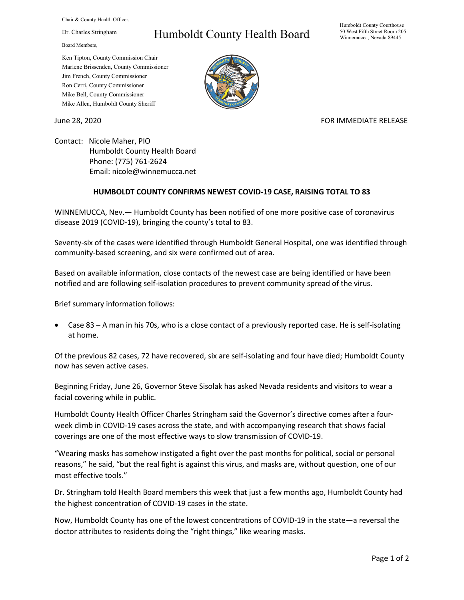Chair & County Health Officer,

Dr. Charles Stringham

Board Members,

## Humboldt County Health Board

Humboldt County Courthouse 50 West Fifth Street Room 205 Winnemucca, Nevada 89445

Ken Tipton, County Commission Chair Marlene Brissenden, County Commissioner Jim French, County Commissioner Ron Cerri, County Commissioner Mike Bell, County Commissioner Mike Allen, Humboldt County Sheriff

June 28, 2020 **FOR IMMEDIATE RELEASE** 

Contact: Nicole Maher, PIO Humboldt County Health Board Phone: (775) 761-2624 Email: nicole@winnemucca.net

## **HUMBOLDT COUNTY CONFIRMS NEWEST COVID-19 CASE, RAISING TOTAL TO 83**

WINNEMUCCA, Nev.— Humboldt County has been notified of one more positive case of coronavirus disease 2019 (COVID-19), bringing the county's total to 83.

Seventy-six of the cases were identified through Humboldt General Hospital, one was identified through community-based screening, and six were confirmed out of area.

Based on available information, close contacts of the newest case are being identified or have been notified and are following self-isolation procedures to prevent community spread of the virus.

Brief summary information follows:

• Case 83 – A man in his 70s, who is a close contact of a previously reported case. He is self-isolating at home.

Of the previous 82 cases, 72 have recovered, six are self-isolating and four have died; Humboldt County now has seven active cases.

Beginning Friday, June 26, Governor Steve Sisolak has asked Nevada residents and visitors to wear a facial covering while in public.

Humboldt County Health Officer Charles Stringham said the Governor's directive comes after a fourweek climb in COVID-19 cases across the state, and with accompanying research that shows facial coverings are one of the most effective ways to slow transmission of COVID-19.

"Wearing masks has somehow instigated a fight over the past months for political, social or personal reasons," he said, "but the real fight is against this virus, and masks are, without question, one of our most effective tools."

Dr. Stringham told Health Board members this week that just a few months ago, Humboldt County had the highest concentration of COVID-19 cases in the state.

Now, Humboldt County has one of the lowest concentrations of COVID-19 in the state—a reversal the doctor attributes to residents doing the "right things," like wearing masks.